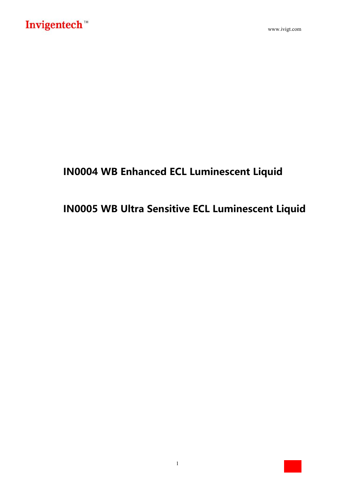## **IN0004 WB Enhanced ECL Luminescent Liquid**

# **IN0005 WB Ultra Sensitive ECL Luminescent Liquid**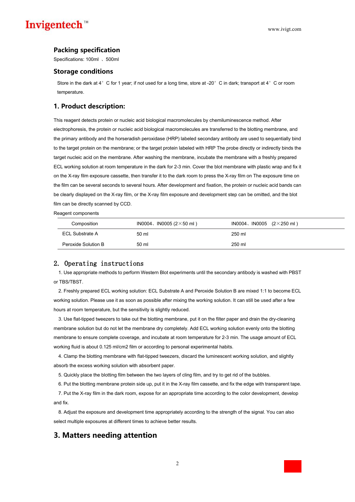### Invigentech™

#### **Packing specification**

Specifications: 100ml 、500ml

#### **Storage conditions**

Store in the dark at 4°C for 1 year; if not used for a long time, store at -20°C in dark; transport at 4°C or room temperature.

#### **1. Product description:**

This reagent detects protein or nucleic acid biological macromolecules by chemiluminescence method. After electrophoresis, the protein or nucleic acid biological macromolecules are transferred to the blotting membrane, and the primary antibody and the horseradish peroxidase (HRP) labeled secondary antibody are used to sequentially bind to the target protein on the membrane; or the target protein labeled with HRP The probe directly or indirectly binds the target nucleic acid on the membrane. After washing the membrane, incubate the membrane with a freshly prepared ECL working solution at room temperature in the dark for 2-3 min. Cover the blot membrane with plastic wrap and fix it on the X-ray film exposure cassette, then transfer it to the dark room to press the X-ray film on The exposure time on the film can be several seconds to several hours. After development and fixation, the protein or nucleic acid bands can be clearly displayed on the X-ray film, or the X-ray film exposure and development step can be omitted, and the blot film can be directly scanned by CCD.

Reagent components

| Composition            | IN0004, IN0005 ( $2 \times 50$ ml) | IN0004、IN0005 $(2 \times 250 \text{ ml})$ |
|------------------------|------------------------------------|-------------------------------------------|
| <b>ECL Substrate A</b> | 50 ml                              | 250 ml                                    |
| Peroxide Solution B    | 50 ml                              | 250 ml                                    |

#### 2. Operating instructions

1. Use appropriate methods to perform Western Blot experiments until the secondary antibody is washed with PBST or TBS/TBST.

2. Freshly prepared ECL working solution: ECL Substrate A and Peroxide Solution B are mixed 1:1 to become ECL working solution. Please use it as soon as possible after mixing the working solution. It can still be used after a few hours at room temperature, but the sensitivity is slightly reduced.

3. Use flat-tipped tweezers to take out the blotting membrane, put it on the filter paper and drain the dry-cleaning membrane solution but do not let the membrane dry completely. Add ECL working solution evenly onto the blotting membrane to ensure complete coverage, and incubate at room temperature for 2-3 min.The usage amount of ECL working fluid is about 0.125 ml/cm2 film or according to personal experimental habits.

4. Clamp the blotting membrane with flat-tipped tweezers, discard the luminescent working solution, and slightly absorb the excess working solution with absorbent paper.

5. Quickly place the blotting film between the two layers of cling film, and try to get rid of the bubbles.

6. Put the blotting membrane protein side up, put it in the X-ray film cassette, and fix the edge with transparent tape.

7. Put the X-ray film in the dark room, expose for an appropriate time according to the color development, develop and fix.

8. Adjust the exposure and development time appropriately according to the strength of the signal. You can also select multiple exposures at different times to achieve better results.

### **3. Matters needing attention**